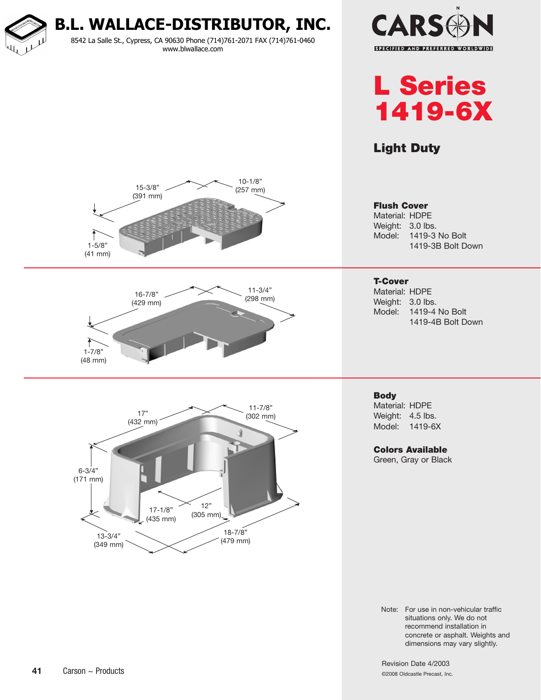**B.L. WALLACE-DISTRIBUTOR, INC.** 8542 La Salle St., Cypress, CA 90630 Phone (714)761-2071 FAX (714)761-0460 www.blwallace.com





# Light Duty



Note: For use in non-vehicular traffic situations only. We do not recommend installation in concrete or asphalt. Weights and dimensions may vary slightly.

Revision Date 4/2003 ©2008 Oldcastle Precast, Inc.

## **41** Carson ~ Products